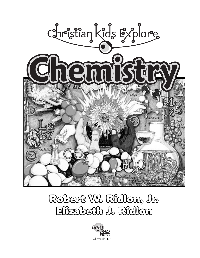

## Robert W. Ridlon, Jr. Robert W. Ridlon, Jr. Robert W. Ridlon, Jr. Robert W. Ridlon, Jr. Robert W. Ridlon, Jr. Elizabeth J. Ridlon Elizabeth J. Ridlon Elizabeth J. Ridlon Elizabeth J. Ridlon Elizabeth J. Ridlon

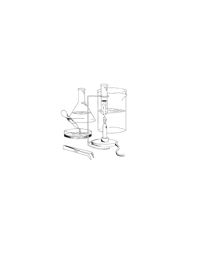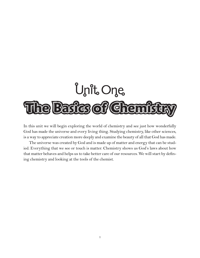

In this unit we will begin exploring the world of chemistry and see just how wonderfully God has made the universe and every living thing. Studying chemistry, like other sciences, is a way to appreciate creation more deeply and examine the beauty of all that God has made.

The universe was created by God and is made up of matter and energy that can be studied. Everything that we see or touch is matter. Chemistry shows us God's laws about how that matter behaves and helps us to take better care of our resources. We will start by defining chemistry and looking at the tools of the chemist.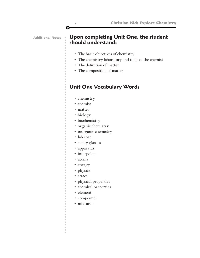#### **Additional Notes**

#### **Upon completing Unit One, the student**  $\bar{\alpha}$ **should understand:**

- The basic objectives of chemistry
- The chemistry laboratory and tools of the chemist
- The definition of matter
- The composition of matter

### **Unit One Vocabulary Words**

- chemistry
- chemist
- matter
- biology
- biochemistry
- organic chemistry
- inorganic chemistry
- lab coat
- safety glasses
- apparatus
- interpolate
- atoms
- energy
- physics
- states
- physical properties
- chemical properties
- element
- compound
- mixtures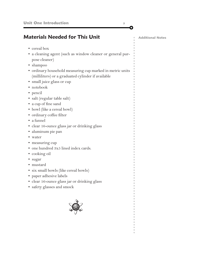### **Materials Needed for This Unit**

- cereal box
- a cleaning agent (such as window cleaner or general purpose cleaner)
- shampoo
- ordinary household measuring cup marked in metric units (milliliters) or a graduated cylinder if available
- small juice glass or cup
- notebook
- pencil
- salt (regular table salt)
- a cup of fine sand
- bowl (like a cereal bowl)
- ordinary coffee filter
- a funnel
- clear 16-ounce glass jar or drinking glass
- aluminum pie pan
- water
- measuring cup
- one hundred 3x5 lined index cards.
- cooking oil
- sugar
- mustard
- six small bowls (like cereal bowls)
- paper adhesive labels
- clear 16-ounce glass jar or drinking glass
- safety glasses and smock



**Additional Notes**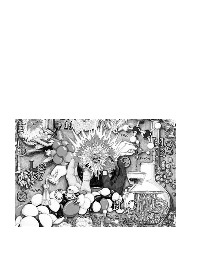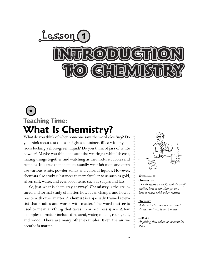

# **Teaching Time: What Is Chemistry?**

What do you think of when someone says the word *chemistry*? Do you think about test tubes and glass containers filled with mysterious looking yellow-green liquid? Do you think of jars of white powder? Maybe you think of a scientist wearing a white lab coat, mixing things together, and watching as the mixture bubbles and rumbles. It is true that chemists usually wear lab coats and often use various white, powder solids and colorful liquids. However, chemists also study substances that are familiar to us such as gold, silver, salt, water, and even food items, such as sugars and fats.

So, just what is chemistry anyway? **Chemistry** is the structured and formal study of matter, how it can change, and how it reacts with other matter. A **chemist** is a specially trained scientist that studies and works with matter. The word **matter** is used to mean anything that takes up or occupies space. A few examples of matter include dirt, sand, water, metals, rocks, salt, and wood. There are many other examples. Even the air we breathe is matter.



#### **Name It! chemistry**

*The structured and formal study of matter, how it can change, and how it reacts with other matter.*

#### **chemist**

*A specially trained scientist that studies and works with matter.*

#### **matter**

*Anything that takes up or occupies space.*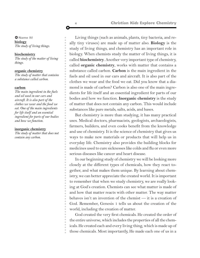**Name It!**

**biology** *The study of living things.* 

#### **biochemistry**

*The study of the matter of living things.* 

#### **organic chemistry**

*The study of matter that contains a substance called carbon.* 

#### **carbon**

*The main ingredient in the fuels and oil used in our cars and aircraft. It is also part of the clothes we wear and the food we eat. One of the main ingredients for life itself and an essential ingredient for parts of our bodies and how we function.* 

#### **inorganic chemistry**

*The study of matter that does not contain any carbon.*

Living things (such as animals, plants, tiny bacteria, and really tiny viruses) are made up of matter also. **Biology** is the study of living things, and chemistry has an important role in biology. When chemists study the matter of living things, it is called **biochemistry**. Another very important type of chemistry, called **organic chemistry**, works with matter that contains a substance called carbon. **Carbon** is the main ingredient in the fuels and oil used in our cars and aircraft. It is also part of the clothes we wear and the food we eat. Did you know that a diamond is made of carbon? Carbon is also one of the main ingredients for life itself and an essential ingredient for parts of our bodies and how we function. **Inorganic chemistry** is the study of matter that does not contain any carbon. This would include substances like pure metals, salts, acids, and bases.

But chemistry is more than studying, it has many practical uses. Medical doctors, pharmacists, geologists, archaeologists, farmers, builders, and even cooks benefit from the knowledge and use of chemistry. It is the science of chemistry that gives us ways to make new materials or products that will help us in everyday life. Chemistry also provides the building blocks for medicines used to cure sicknesses like colds and flu or even more serious diseases like cancer and heart disease.

In our beginning study of chemistry we will be looking more closely at the different types of chemicals, how they react together, and what makes them unique. By learning about chemistry, we can better appreciate the created world. It is important to remember that when we study chemistry, we are really looking at God's creation. Chemists can see what matter is made of and how that matter reacts with other matter. The way matter behaves isn't an invention of the chemist — it is a creation of God. Remember, Genesis 1 tells us about the creation of the world, including the creation of matter.

God created the very first chemicals. He created the order of the entire universe, which includes the properties of all the chemicals. He created each and every living thing, which is made up of those chemicals. Most importantly, He made each one of us in a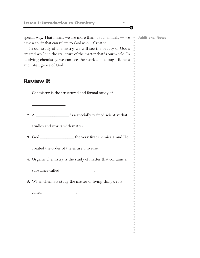special way. That means we are more than just chemicals — we **Additional Notes** have a spirit that can relate to God as our Creator.

In our study of chemistry, we will see the beauty of God's created world in the structure of the matter that is our world. In studying chemistry, we can see the work and thoughtfulness and intelligence of God.

## **Review It**

- 1. Chemistry is the structured and formal study of
- 2. A \_\_\_\_\_\_\_\_\_\_\_\_\_\_\_\_\_\_\_\_\_ is a specially trained scientist that

studies and works with matter.

\_\_\_\_\_\_\_\_\_\_\_\_\_\_\_\_.

3. God \_\_\_\_\_\_\_\_\_\_\_\_\_\_\_\_ the very first chemicals, and He

created the order of the entire universe.

4. Organic chemistry is the study of matter that contains a

substance called \_\_\_\_\_\_\_\_\_\_\_\_\_\_\_\_\_.

5. When chemists study the matter of living things, it is

called \_\_\_\_\_\_\_\_\_\_\_\_\_\_\_\_.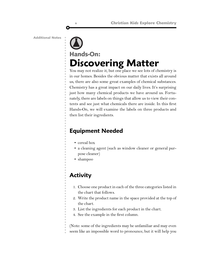**Additional Notes**

## **Hands-On: Discovering Matter**

You may not realize it, but one place we see lots of chemistry is in our homes. Besides the obvious matter that exists all around us, there are also some great examples of chemical substances. Chemistry has a great impact on our daily lives. It's surprising just how many chemical products we have around us. Fortunately, there are labels on things that allow us to view their contents and see just what chemicals there are inside. In this first Hands-On, we will examine the labels on three products and then list their ingredients.

## **Equipment Needed**

- cereal box
- a cleaning agent (such as window cleaner or general purpose cleaner)
- shampoo

## **Activity**

- 1. Choose one product in each of the three categories listed in the chart that follows.
- 2. Write the product name in the space provided at the top of the chart.
- 3. List the ingredients for each product in the chart.
- 4. See the example in the first column.

(Note: some of the ingredients may be unfamiliar and may even seem like an impossible word to pronounce, but it will help you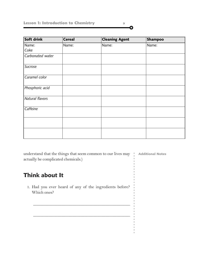| Soft drink       | <b>Cereal</b> | <b>Cleaning Agent</b> | <b>Shampoo</b> |
|------------------|---------------|-----------------------|----------------|
| Name:            | Name:         | Name:                 | Name:          |
| Coke             |               |                       |                |
| Carbonated water |               |                       |                |
| Sucrose          |               |                       |                |
| Caramel color    |               |                       |                |
| Phosphoric acid  |               |                       |                |
| Natural flavors  |               |                       |                |
| Caffeine         |               |                       |                |
|                  |               |                       |                |
|                  |               |                       |                |

understand that the things that seem common to our lives may **Additional Notes** actually be complicated chemicals.)

## **Think about It**

1. Had you ever heard of any of the ingredients before? Which ones?

\_\_\_\_\_\_\_\_\_\_\_\_\_\_\_\_\_\_\_\_\_\_\_\_\_\_\_\_\_\_\_\_\_\_\_\_\_\_\_\_\_\_\_\_\_\_

\_\_\_\_\_\_\_\_\_\_\_\_\_\_\_\_\_\_\_\_\_\_\_\_\_\_\_\_\_\_\_\_\_\_\_\_\_\_\_\_\_\_\_\_\_\_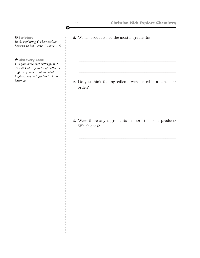**O** Scripture *In the beginning God created the heavens and the earth. (Genesis 1:1)*

**Discovery Zone**  *Did you know that butter floats? Try it! Put a spoonful of butter in a glass of water and see what happens. We will find out why in lesson 24.*

2. Which products had the most ingredients?

2. Do you think the ingredients were listed in a particular order?

\_\_\_\_\_\_\_\_\_\_\_\_\_\_\_\_\_\_\_\_\_\_\_\_\_\_\_\_\_\_\_\_\_\_\_\_\_\_\_\_\_\_\_\_\_\_

\_\_\_\_\_\_\_\_\_\_\_\_\_\_\_\_\_\_\_\_\_\_\_\_\_\_\_\_\_\_\_\_\_\_\_\_\_\_\_\_\_\_\_\_\_\_

\_\_\_\_\_\_\_\_\_\_\_\_\_\_\_\_\_\_\_\_\_\_\_\_\_\_\_\_\_\_\_\_\_\_\_\_\_\_\_\_\_\_\_\_\_\_

\_\_\_\_\_\_\_\_\_\_\_\_\_\_\_\_\_\_\_\_\_\_\_\_\_\_\_\_\_\_\_\_\_\_\_\_\_\_\_\_\_\_\_\_\_\_

\_\_\_\_\_\_\_\_\_\_\_\_\_\_\_\_\_\_\_\_\_\_\_\_\_\_\_\_\_\_\_\_\_\_\_\_\_\_\_\_\_\_\_\_\_\_

\_\_\_\_\_\_\_\_\_\_\_\_\_\_\_\_\_\_\_\_\_\_\_\_\_\_\_\_\_\_\_\_\_\_\_\_\_\_\_\_\_\_\_\_\_\_

\_\_\_\_\_\_\_\_\_\_\_\_\_\_\_\_\_\_\_\_\_\_\_\_\_\_\_\_\_\_\_\_\_\_\_\_\_\_\_\_\_\_\_\_\_\_

3. Were there any ingredients in more than one product? Which ones?

O

 $\bullet$  $\bullet$